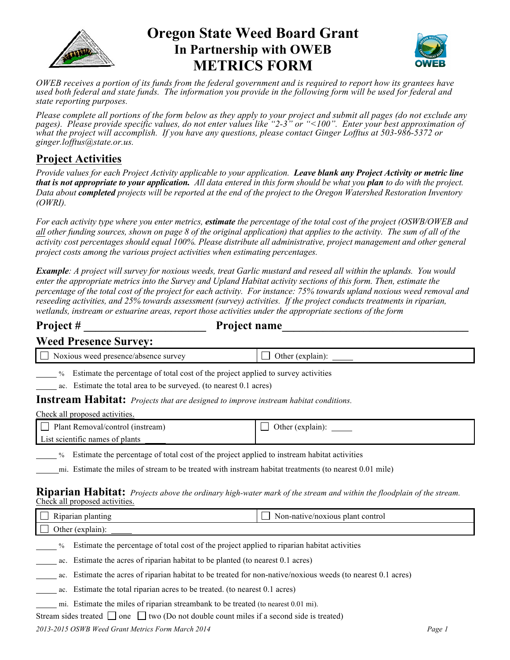

# **Oregon State Weed Board Grant In Partnership with OWEB METRICS FORM**



*OWEB receives a portion of its funds from the federal government and is required to report how its grantees have used both federal and state funds. The information you provide in the following form will be used for federal and state reporting purposes.* 

*Please complete all portions of the form below as they apply to your project and submit all pages (do not exclude any pages). Please provide specific values, do not enter values like "2-3" or "<100". Enter your best approximation of what the project will accomplish. If you have any questions, please contact Ginger Lofftus at 503-986-5372 or ginger.lofftus@state.or.us.*

## **Project Activities**

*Provide values for each Project Activity applicable to your application. Leave blank any Project Activity or metric line that is not appropriate to your application. All data entered in this form should be what you plan to do with the project. Data about completed projects will be reported at the end of the project to the Oregon Watershed Restoration Inventory (OWRI).* 

*For each activity type where you enter metrics, estimate the percentage of the total cost of the project (OSWB/OWEB and all other funding sources, shown on page 8 of the original application) that applies to the activity. The sum of all of the activity cost percentages should equal 100%. Please distribute all administrative, project management and other general project costs among the various project activities when estimating percentages.* 

*Example: A project will survey for noxious weeds, treat Garlic mustard and reseed all within the uplands. You would enter the appropriate metrics into the Survey and Upland Habitat activity sections of this form. Then, estimate the percentage of the total cost of the project for each activity. For instance: 75% towards upland noxious weed removal and reseeding activities, and 25% towards assessment (survey) activities. If the project conducts treatments in riparian, wetlands, instream or estuarine areas, report those activities under the appropriate sections of the form*

**Project # \_\_\_\_\_\_\_\_\_\_\_\_\_\_\_\_\_\_\_\_\_ Project name\_\_\_\_\_\_\_\_\_\_\_\_\_\_\_\_\_\_\_\_\_\_\_\_\_\_\_\_\_\_\_\_**

| <b>Weed Presence Survey:</b> |  |
|------------------------------|--|
|------------------------------|--|

| $\Box$ Noxious weed presence/absence survey                                         | Other (explain): |
|-------------------------------------------------------------------------------------|------------------|
| % Estimate the percentage of total cost of the project applied to survey activities |                  |

ac. Estimate the total area to be surveyed. (to nearest 0.1 acres)

**Instream Habitat:** *Projects that are designed to improve instream habitat conditions.* 

Check all proposed activities.

| Plant Removal/control (instream) | Other (explain): |
|----------------------------------|------------------|
| List scientific names of plants  |                  |
|                                  |                  |

% Estimate the percentage of total cost of the project applied to instream habitat activities

mi. Estimate the miles of stream to be treated with instream habitat treatments (to nearest 0.01 mile)

#### **Riparian Habitat:** *Projects above the ordinary high-water mark of the stream and within the floodplain of the stream.*  Check all proposed activities.

| <b>Kiparian</b><br>planting | Non-native/noxious plant control |
|-----------------------------|----------------------------------|
| vuv.<br>,,,,,,              |                                  |

% Estimate the percentage of total cost of the project applied to riparian habitat activities

ac. Estimate the acres of riparian habitat to be planted (to nearest 0.1 acres)

ac. Estimate the acres of riparian habitat to be treated for non-native/noxious weeds (to nearest 0.1 acres)

ac. Estimate the total riparian acres to be treated. (to nearest 0.1 acres)

mi. Estimate the miles of riparian streambank to be treated (to nearest 0.01 mi).

Stream sides treated  $\Box$  one  $\Box$  two (Do not double count miles if a second side is treated)

#### *2013-2015 OSWB Weed Grant Metrics Form March 2014 Page 1*